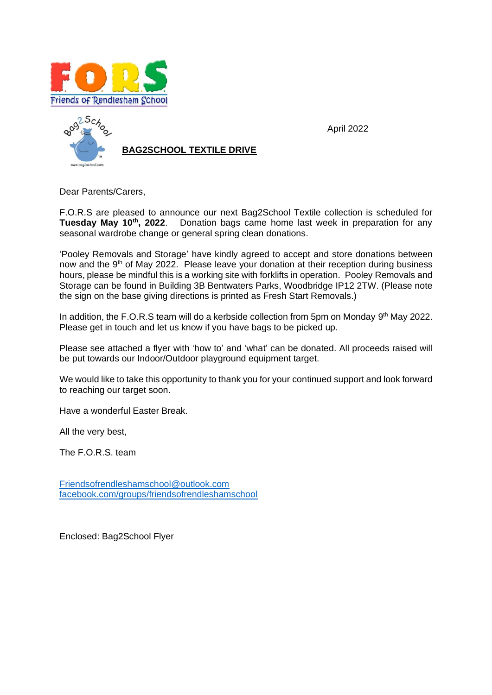



Dear Parents/Carers,

F.O.R.S are pleased to announce our next Bag2School Textile collection is scheduled for **Tuesday May 10th, 2022**. Donation bags came home last week in preparation for any seasonal wardrobe change or general spring clean donations.

April 2022

'Pooley Removals and Storage' have kindly agreed to accept and store donations between now and the 9<sup>th</sup> of May 2022. Please leave your donation at their reception during business hours, please be mindful this is a working site with forklifts in operation. Pooley Removals and Storage can be found in Building 3B Bentwaters Parks, Woodbridge IP12 2TW. (Please note the sign on the base giving directions is printed as Fresh Start Removals.)

In addition, the F.O.R.S team will do a kerbside collection from 5pm on Monday 9<sup>th</sup> May 2022. Please get in touch and let us know if you have bags to be picked up.

Please see attached a flyer with 'how to' and 'what' can be donated. All proceeds raised will be put towards our Indoor/Outdoor playground equipment target.

We would like to take this opportunity to thank you for your continued support and look forward to reaching our target soon.

Have a wonderful Easter Break.

All the very best,

The F.O.R.S. team

[Friendsofrendleshamschool@outlook.com](mailto:Friendsofrendleshamschool@outlook.com) [facebook.com/groups/friendsofrendleshamschool](http://www.facebook.com/groups/friendsofrendleshamschool)

Enclosed: Bag2School Flyer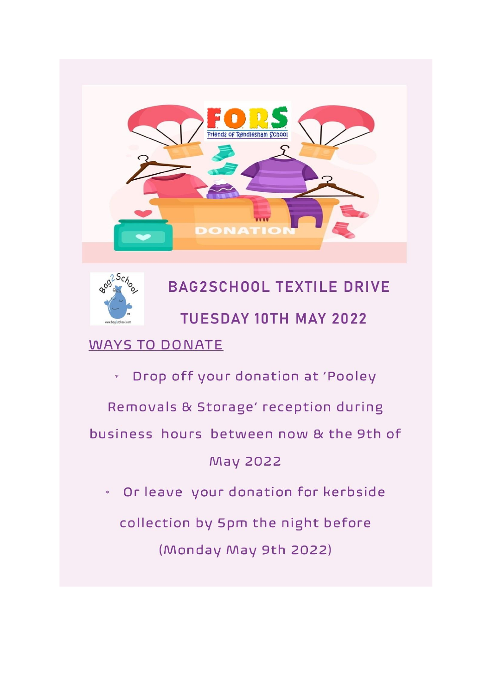



# **BAG2SCHOOL TEXTILE DRIVE TUESDAY 10TH MAY 2022**

## **WAYS TO DONATE**

Drop off your donation at 'Pooley  $\ast$ 

Removals & Storage' reception during

business hours between now & the 9th of

### May 2022

Or leave your donation for kerbside  $\ast$ 

collection by 5pm the night before (Monday May 9th 2022)